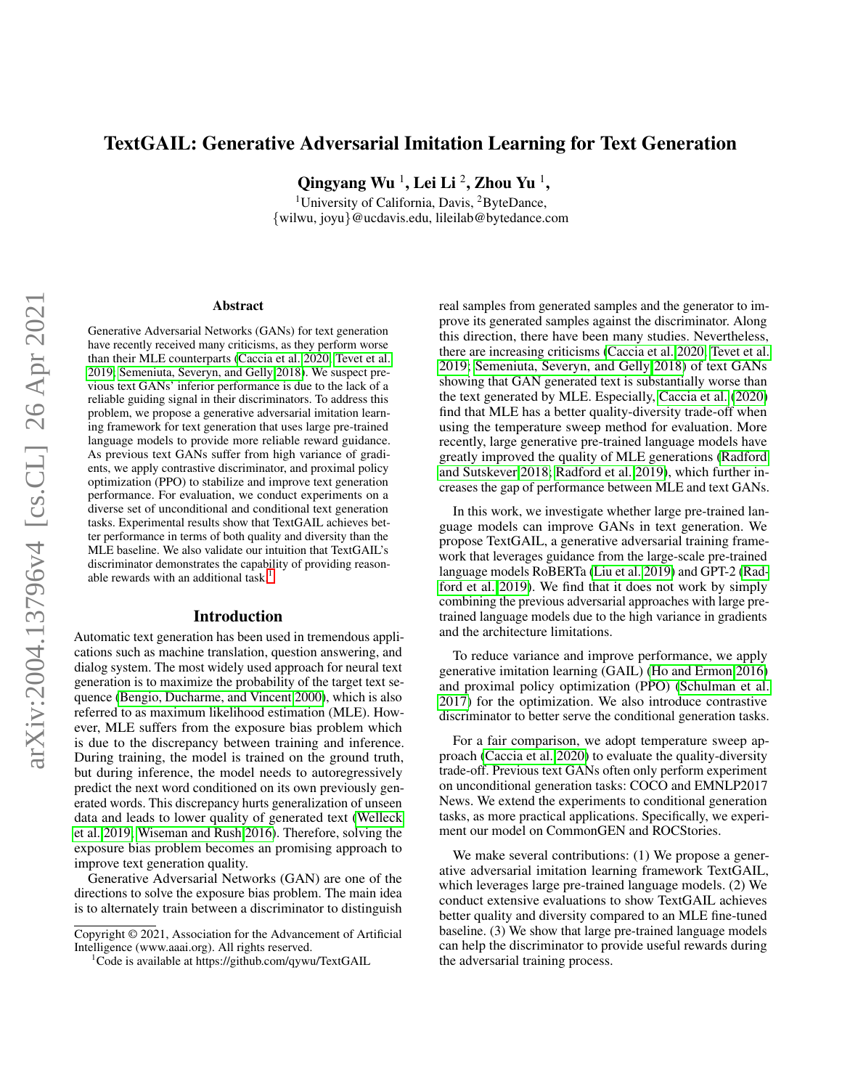# TextGAIL: Generative Adversarial Imitation Learning for Text Generation

Qingyang Wu  $^1$ , Lei Li  $^2$ , Zhou Yu  $^1$ ,

<sup>1</sup>University of California, Davis, <sup>2</sup>ByteDance, {wilwu, joyu}@ucdavis.edu, lileilab@bytedance.com

#### Abstract

Generative Adversarial Networks (GANs) for text generation have recently received many criticisms, as they perform worse than their MLE counterparts [\(Caccia et al. 2020;](#page-7-0) [Tevet et al.](#page-8-0) [2019;](#page-8-0) [Semeniuta, Severyn, and Gelly 2018\)](#page-8-1). We suspect previous text GANs' inferior performance is due to the lack of a reliable guiding signal in their discriminators. To address this problem, we propose a generative adversarial imitation learning framework for text generation that uses large pre-trained language models to provide more reliable reward guidance. As previous text GANs suffer from high variance of gradients, we apply contrastive discriminator, and proximal policy optimization (PPO) to stabilize and improve text generation performance. For evaluation, we conduct experiments on a diverse set of unconditional and conditional text generation tasks. Experimental results show that TextGAIL achieves better performance in terms of both quality and diversity than the MLE baseline. We also validate our intuition that TextGAIL's discriminator demonstrates the capability of providing reason-able rewards with an additional task.<sup>[1](#page-0-0)</sup>

#### Introduction

Automatic text generation has been used in tremendous applications such as machine translation, question answering, and dialog system. The most widely used approach for neural text generation is to maximize the probability of the target text sequence [\(Bengio, Ducharme, and Vincent 2000\)](#page-7-1), which is also referred to as maximum likelihood estimation (MLE). However, MLE suffers from the exposure bias problem which is due to the discrepancy between training and inference. During training, the model is trained on the ground truth, but during inference, the model needs to autoregressively predict the next word conditioned on its own previously generated words. This discrepancy hurts generalization of unseen data and leads to lower quality of generated text [\(Welleck](#page-8-2) [et al. 2019;](#page-8-2) [Wiseman and Rush 2016\)](#page-8-3). Therefore, solving the exposure bias problem becomes an promising approach to improve text generation quality.

Generative Adversarial Networks (GAN) are one of the directions to solve the exposure bias problem. The main idea is to alternately train between a discriminator to distinguish real samples from generated samples and the generator to improve its generated samples against the discriminator. Along this direction, there have been many studies. Nevertheless, there are increasing criticisms [\(Caccia et al. 2020;](#page-7-0) [Tevet et al.](#page-8-0) [2019;](#page-8-0) [Semeniuta, Severyn, and Gelly 2018\)](#page-8-1) of text GANs showing that GAN generated text is substantially worse than the text generated by MLE. Especially, [Caccia et al.](#page-7-0) [\(2020\)](#page-7-0) find that MLE has a better quality-diversity trade-off when using the temperature sweep method for evaluation. More recently, large generative pre-trained language models have greatly improved the quality of MLE generations [\(Radford](#page-7-2) [and Sutskever 2018;](#page-7-2) [Radford et al. 2019\)](#page-7-3), which further increases the gap of performance between MLE and text GANs.

In this work, we investigate whether large pre-trained language models can improve GANs in text generation. We propose TextGAIL, a generative adversarial training framework that leverages guidance from the large-scale pre-trained language models RoBERTa [\(Liu et al. 2019\)](#page-7-4) and GPT-2 [\(Rad](#page-7-3)[ford et al. 2019\)](#page-7-3). We find that it does not work by simply combining the previous adversarial approaches with large pretrained language models due to the high variance in gradients and the architecture limitations.

To reduce variance and improve performance, we apply generative imitation learning (GAIL) [\(Ho and Ermon 2016\)](#page-7-5) and proximal policy optimization (PPO) [\(Schulman et al.](#page-8-4) [2017\)](#page-8-4) for the optimization. We also introduce contrastive discriminator to better serve the conditional generation tasks.

For a fair comparison, we adopt temperature sweep approach [\(Caccia et al. 2020\)](#page-7-0) to evaluate the quality-diversity trade-off. Previous text GANs often only perform experiment on unconditional generation tasks: COCO and EMNLP2017 News. We extend the experiments to conditional generation tasks, as more practical applications. Specifically, we experiment our model on CommonGEN and ROCStories.

We make several contributions: (1) We propose a generative adversarial imitation learning framework TextGAIL, which leverages large pre-trained language models. (2) We conduct extensive evaluations to show TextGAIL achieves better quality and diversity compared to an MLE fine-tuned baseline. (3) We show that large pre-trained language models can help the discriminator to provide useful rewards during the adversarial training process.

Copyright © 2021, Association for the Advancement of Artificial Intelligence (www.aaai.org). All rights reserved.

<span id="page-0-0"></span><sup>&</sup>lt;sup>1</sup>Code is available at https://github.com/qywu/TextGAIL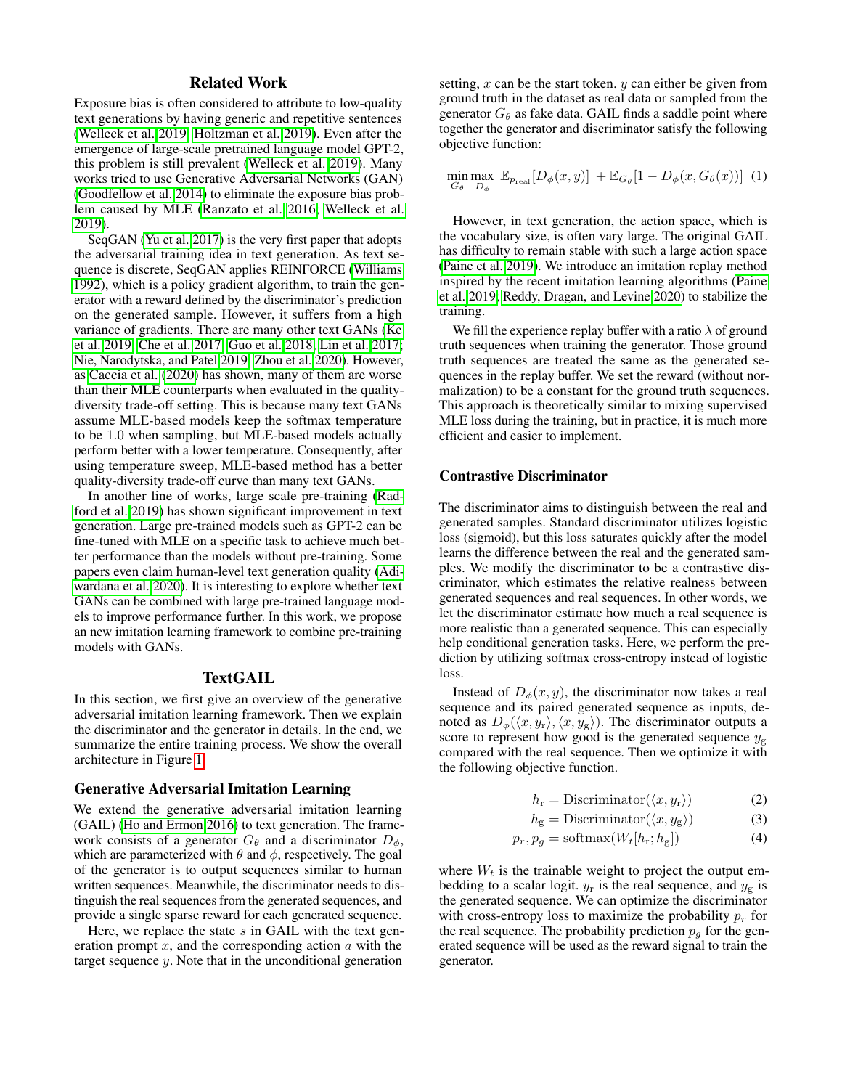### Related Work

Exposure bias is often considered to attribute to low-quality text generations by having generic and repetitive sentences [\(Welleck et al. 2019;](#page-8-2) [Holtzman et al. 2019\)](#page-7-6). Even after the emergence of large-scale pretrained language model GPT-2, this problem is still prevalent [\(Welleck et al. 2019\)](#page-8-2). Many works tried to use Generative Adversarial Networks (GAN) [\(Goodfellow et al. 2014\)](#page-7-7) to eliminate the exposure bias problem caused by MLE [\(Ranzato et al. 2016;](#page-7-8) [Welleck et al.](#page-8-2) [2019\)](#page-8-2).

SeqGAN [\(Yu et al. 2017\)](#page-8-5) is the very first paper that adopts the adversarial training idea in text generation. As text sequence is discrete, SeqGAN applies REINFORCE [\(Williams](#page-8-6) [1992\)](#page-8-6), which is a policy gradient algorithm, to train the generator with a reward defined by the discriminator's prediction on the generated sample. However, it suffers from a high variance of gradients. There are many other text GANs [\(Ke](#page-7-9) [et al. 2019;](#page-7-9) [Che et al. 2017;](#page-7-10) [Guo et al. 2018;](#page-7-11) [Lin et al. 2017;](#page-7-12) [Nie, Narodytska, and Patel 2019;](#page-7-13) [Zhou et al. 2020\)](#page-8-7). However, as [Caccia et al.](#page-7-0) [\(2020\)](#page-7-0) has shown, many of them are worse than their MLE counterparts when evaluated in the qualitydiversity trade-off setting. This is because many text GANs assume MLE-based models keep the softmax temperature to be 1.0 when sampling, but MLE-based models actually perform better with a lower temperature. Consequently, after using temperature sweep, MLE-based method has a better quality-diversity trade-off curve than many text GANs.

In another line of works, large scale pre-training [\(Rad](#page-7-3)[ford et al. 2019\)](#page-7-3) has shown significant improvement in text generation. Large pre-trained models such as GPT-2 can be fine-tuned with MLE on a specific task to achieve much better performance than the models without pre-training. Some papers even claim human-level text generation quality [\(Adi](#page-6-0)[wardana et al. 2020\)](#page-6-0). It is interesting to explore whether text GANs can be combined with large pre-trained language models to improve performance further. In this work, we propose an new imitation learning framework to combine pre-training models with GANs.

### TextGAIL

In this section, we first give an overview of the generative adversarial imitation learning framework. Then we explain the discriminator and the generator in details. In the end, we summarize the entire training process. We show the overall architecture in Figure [1.](#page-2-0)

#### Generative Adversarial Imitation Learning

We extend the generative adversarial imitation learning (GAIL) [\(Ho and Ermon 2016\)](#page-7-5) to text generation. The framework consists of a generator  $G_{\theta}$  and a discriminator  $D_{\phi}$ , which are parameterized with  $\theta$  and  $\phi$ , respectively. The goal of the generator is to output sequences similar to human written sequences. Meanwhile, the discriminator needs to distinguish the real sequences from the generated sequences, and provide a single sparse reward for each generated sequence.

Here, we replace the state  $s$  in GAIL with the text generation prompt  $x$ , and the corresponding action  $a$  with the target sequence y. Note that in the unconditional generation

setting,  $x$  can be the start token.  $y$  can either be given from ground truth in the dataset as real data or sampled from the generator  $G_{\theta}$  as fake data. GAIL finds a saddle point where together the generator and discriminator satisfy the following objective function:

<span id="page-1-0"></span>
$$
\min_{G_{\theta}} \max_{D_{\phi}} \ \mathbb{E}_{p_{\text{real}}}[D_{\phi}(x, y)] \ + \mathbb{E}_{G_{\theta}}[1 - D_{\phi}(x, G_{\theta}(x))]
$$
(1)

However, in text generation, the action space, which is the vocabulary size, is often vary large. The original GAIL has difficulty to remain stable with such a large action space [\(Paine et al. 2019\)](#page-7-14). We introduce an imitation replay method inspired by the recent imitation learning algorithms [\(Paine](#page-7-14) [et al. 2019;](#page-7-14) [Reddy, Dragan, and Levine 2020\)](#page-7-15) to stabilize the training.

We fill the experience replay buffer with a ratio  $\lambda$  of ground truth sequences when training the generator. Those ground truth sequences are treated the same as the generated sequences in the replay buffer. We set the reward (without normalization) to be a constant for the ground truth sequences. This approach is theoretically similar to mixing supervised MLE loss during the training, but in practice, it is much more efficient and easier to implement.

### Contrastive Discriminator

The discriminator aims to distinguish between the real and generated samples. Standard discriminator utilizes logistic loss (sigmoid), but this loss saturates quickly after the model learns the difference between the real and the generated samples. We modify the discriminator to be a contrastive discriminator, which estimates the relative realness between generated sequences and real sequences. In other words, we let the discriminator estimate how much a real sequence is more realistic than a generated sequence. This can especially help conditional generation tasks. Here, we perform the prediction by utilizing softmax cross-entropy instead of logistic loss.

Instead of  $D_{\phi}(x, y)$ , the discriminator now takes a real sequence and its paired generated sequence as inputs, denoted as  $D_{\phi}(\langle x, y_{\rm r}\rangle, \langle x, y_{\rm g}\rangle)$ . The discriminator outputs a score to represent how good is the generated sequence  $y_{\rm g}$ compared with the real sequence. Then we optimize it with the following objective function.

$$
h_{\rm r} = \text{Discription}(\langle x, y_{\rm r} \rangle) \tag{2}
$$

<span id="page-1-1"></span>
$$
h_{\rm g} = \text{Discriminator}(\langle x, y_{\rm g} \rangle) \tag{3}
$$

$$
p_r, p_g = \text{softmax}(W_t[h_r; h_g]) \tag{4}
$$

where  $W_t$  is the trainable weight to project the output embedding to a scalar logit.  $y_r$  is the real sequence, and  $y_g$  is the generated sequence. We can optimize the discriminator with cross-entropy loss to maximize the probability  $p_r$  for the real sequence. The probability prediction  $p<sub>q</sub>$  for the generated sequence will be used as the reward signal to train the generator.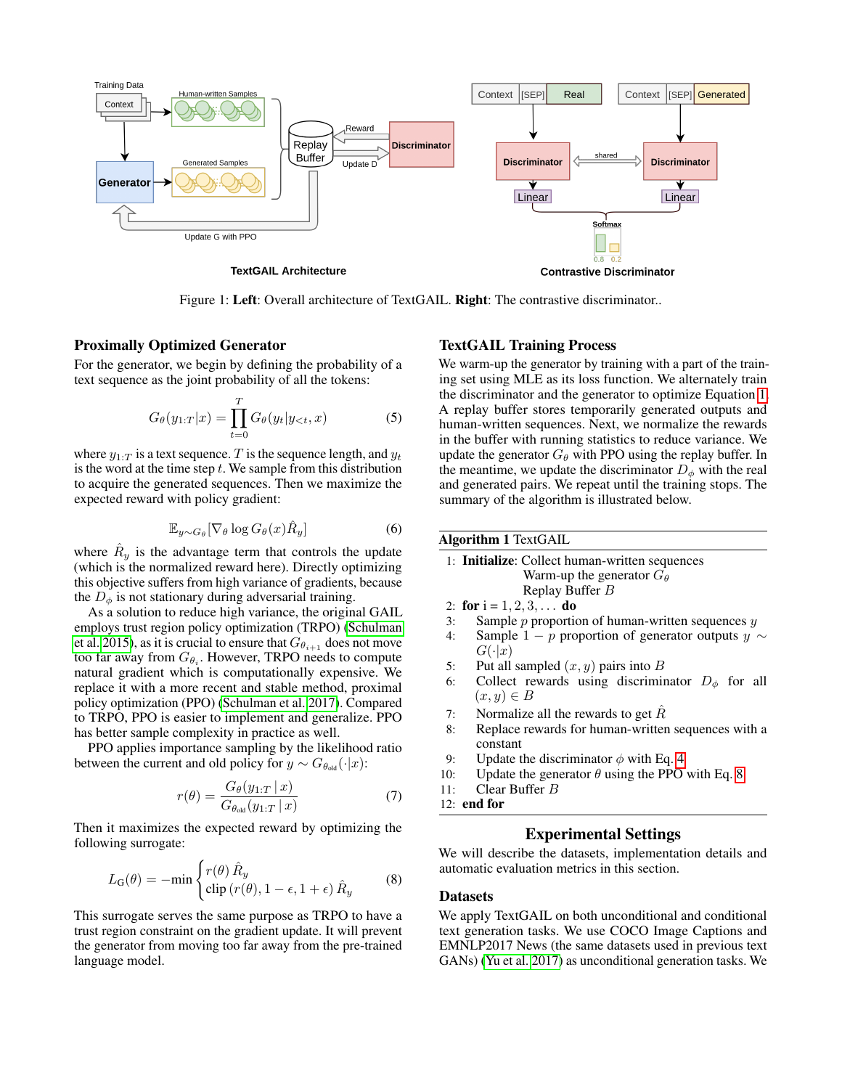<span id="page-2-0"></span>

Figure 1: Left: Overall architecture of TextGAIL. Right: The contrastive discriminator..

#### Proximally Optimized Generator

For the generator, we begin by defining the probability of a text sequence as the joint probability of all the tokens:

$$
G_{\theta}(y_{1:T}|x) = \prod_{t=0}^{T} G_{\theta}(y_t|y_{< t}, x) \tag{5}
$$

where  $y_{1:T}$  is a text sequence. T is the sequence length, and  $y_t$ is the word at the time step  $t$ . We sample from this distribution to acquire the generated sequences. Then we maximize the expected reward with policy gradient:

$$
\mathbb{E}_{y \sim G_{\theta}}[\nabla_{\theta} \log G_{\theta}(x) \hat{R}_y]
$$
 (6)

where  $\hat{R}_y$  is the advantage term that controls the update (which is the normalized reward here). Directly optimizing this objective suffers from high variance of gradients, because the  $D_{\phi}$  is not stationary during adversarial training.

As a solution to reduce high variance, the original GAIL employs trust region policy optimization (TRPO) [\(Schulman](#page-7-16) [et al. 2015\)](#page-7-16), as it is crucial to ensure that  $G_{\theta_{i+1}}$  does not move too far away from  $G_{\theta_i}$ . However, TRPO needs to compute natural gradient which is computationally expensive. We replace it with a more recent and stable method, proximal policy optimization (PPO) [\(Schulman et al. 2017\)](#page-8-4). Compared to TRPO, PPO is easier to implement and generalize. PPO has better sample complexity in practice as well.

PPO applies importance sampling by the likelihood ratio between the current and old policy for  $y \sim G_{\theta_{old}}(\cdot|x)$ :

$$
r(\theta) = \frac{G_{\theta}(y_{1:T} \mid x)}{G_{\theta_{\text{old}}}(y_{1:T} \mid x)}
$$
(7)

Then it maximizes the expected reward by optimizing the following surrogate:

<span id="page-2-1"></span>
$$
L_{\mathcal{G}}(\theta) = -\min \begin{cases} r(\theta) \hat{R}_y \\ \text{clip} \left( r(\theta), 1 - \epsilon, 1 + \epsilon \right) \hat{R}_y \end{cases}
$$
 (8)

This surrogate serves the same purpose as TRPO to have a trust region constraint on the gradient update. It will prevent the generator from moving too far away from the pre-trained language model.

### TextGAIL Training Process

We warm-up the generator by training with a part of the training set using MLE as its loss function. We alternately train the discriminator and the generator to optimize Equation [1.](#page-1-0) A replay buffer stores temporarily generated outputs and human-written sequences. Next, we normalize the rewards in the buffer with running statistics to reduce variance. We update the generator  $G_{\theta}$  with PPO using the replay buffer. In the meantime, we update the discriminator  $D_{\phi}$  with the real and generated pairs. We repeat until the training stops. The summary of the algorithm is illustrated below.

#### Algorithm 1 TextGAIL

| 1: Initialize: Collect human-written sequences |
|------------------------------------------------|
| Warm-up the generator $G_{\theta}$             |
| Replay Buffer $B$                              |

2: for  $i = 1, 2, 3, \ldots$  do

- 3: Sample  $p$  proportion of human-written sequences  $y$
- 4: Sample 1 − p proportion of generator outputs  $y \sim$  $G(\cdot|x)$
- 5: Put all sampled  $(x, y)$  pairs into B
- 6: Collect rewards using discriminator  $D_{\phi}$  for all  $(x, y) \in B$
- 7: Normalize all the rewards to get  $R$
- 8: Replace rewards for human-written sequences with a constant
- 9: Update the discriminator  $\phi$  with Eq. [4](#page-1-1)
- 10: Update the generator  $\theta$  using the PPO with Eq. [8](#page-2-1)
- 11: Clear Buffer B
- 12: end for

#### Experimental Settings

We will describe the datasets, implementation details and automatic evaluation metrics in this section.

#### Datasets

We apply TextGAIL on both unconditional and conditional text generation tasks. We use COCO Image Captions and EMNLP2017 News (the same datasets used in previous text GANs) [\(Yu et al. 2017\)](#page-8-5) as unconditional generation tasks. We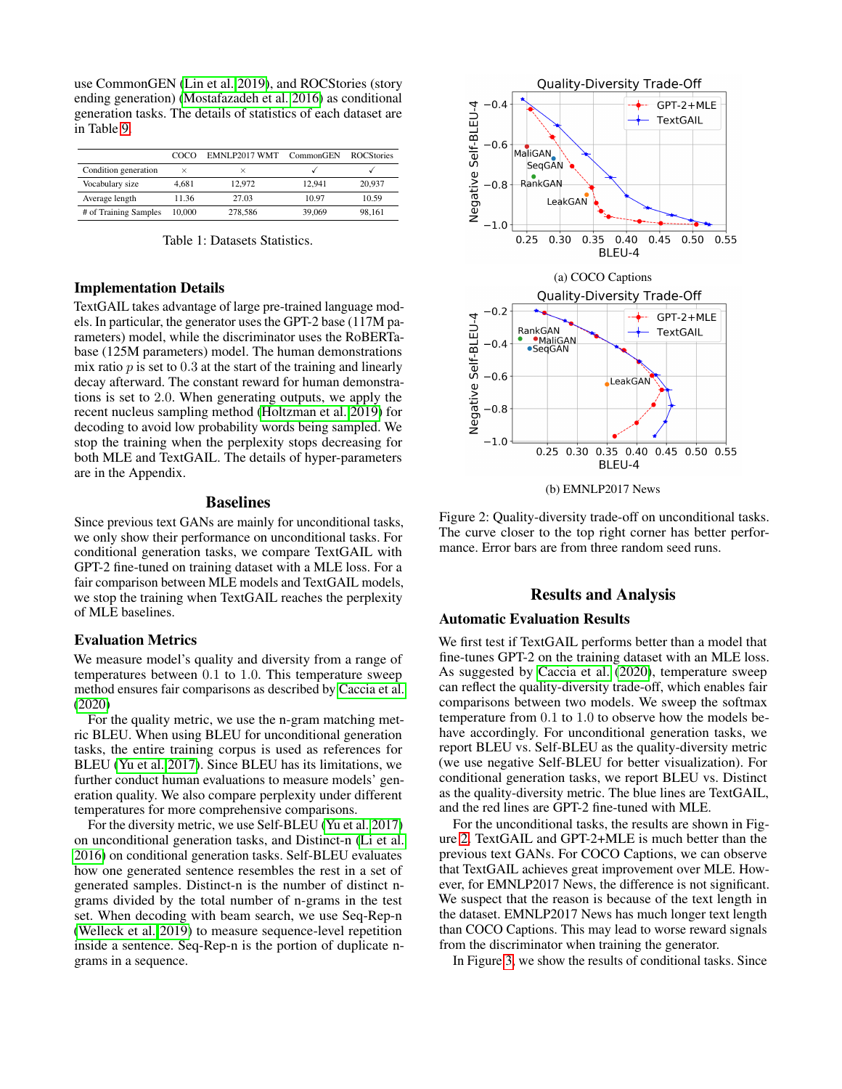use CommonGEN [\(Lin et al. 2019\)](#page-7-17), and ROCStories (story ending generation) [\(Mostafazadeh et al. 2016\)](#page-7-18) as conditional generation tasks. The details of statistics of each dataset are in Table [9.](#page-9-0)

|                       | റററ      | EMNLP2017 WMT CommonGEN |        | <b>ROCStories</b> |
|-----------------------|----------|-------------------------|--------|-------------------|
| Condition generation  | $\times$ | $\times$                |        |                   |
| Vocabulary size       | 4.681    | 12.972                  | 12.941 | 20.937            |
| Average length        | 11.36    | 27.03                   | 10.97  | 10.59             |
| # of Training Samples | 10,000   | 278,586                 | 39,069 | 98.161            |

Table 1: Datasets Statistics.

### Implementation Details

TextGAIL takes advantage of large pre-trained language models. In particular, the generator uses the GPT-2 base (117M parameters) model, while the discriminator uses the RoBERTabase (125M parameters) model. The human demonstrations mix ratio  $p$  is set to 0.3 at the start of the training and linearly decay afterward. The constant reward for human demonstrations is set to 2.0. When generating outputs, we apply the recent nucleus sampling method [\(Holtzman et al. 2019\)](#page-7-6) for decoding to avoid low probability words being sampled. We stop the training when the perplexity stops decreasing for both MLE and TextGAIL. The details of hyper-parameters are in the Appendix.

### Baselines

Since previous text GANs are mainly for unconditional tasks, we only show their performance on unconditional tasks. For conditional generation tasks, we compare TextGAIL with GPT-2 fine-tuned on training dataset with a MLE loss. For a fair comparison between MLE models and TextGAIL models, we stop the training when TextGAIL reaches the perplexity of MLE baselines.

### Evaluation Metrics

We measure model's quality and diversity from a range of temperatures between 0.1 to 1.0. This temperature sweep method ensures fair comparisons as described by [Caccia et al.](#page-7-0) [\(2020\)](#page-7-0)

For the quality metric, we use the n-gram matching metric BLEU. When using BLEU for unconditional generation tasks, the entire training corpus is used as references for BLEU [\(Yu et al. 2017\)](#page-8-5). Since BLEU has its limitations, we further conduct human evaluations to measure models' generation quality. We also compare perplexity under different temperatures for more comprehensive comparisons.

For the diversity metric, we use Self-BLEU [\(Yu et al. 2017\)](#page-8-5) on unconditional generation tasks, and Distinct-n [\(Li et al.](#page-7-19) [2016\)](#page-7-19) on conditional generation tasks. Self-BLEU evaluates how one generated sentence resembles the rest in a set of generated samples. Distinct-n is the number of distinct ngrams divided by the total number of n-grams in the test set. When decoding with beam search, we use Seq-Rep-n [\(Welleck et al. 2019\)](#page-8-2) to measure sequence-level repetition inside a sentence. Seq-Rep-n is the portion of duplicate ngrams in a sequence.

<span id="page-3-0"></span>

Figure 2: Quality-diversity trade-off on unconditional tasks. The curve closer to the top right corner has better performance. Error bars are from three random seed runs.

### Results and Analysis

### Automatic Evaluation Results

We first test if TextGAIL performs better than a model that fine-tunes GPT-2 on the training dataset with an MLE loss. As suggested by [Caccia et al.](#page-7-0) [\(2020\)](#page-7-0), temperature sweep can reflect the quality-diversity trade-off, which enables fair comparisons between two models. We sweep the softmax temperature from 0.1 to 1.0 to observe how the models behave accordingly. For unconditional generation tasks, we report BLEU vs. Self-BLEU as the quality-diversity metric (we use negative Self-BLEU for better visualization). For conditional generation tasks, we report BLEU vs. Distinct as the quality-diversity metric. The blue lines are TextGAIL, and the red lines are GPT-2 fine-tuned with MLE.

For the unconditional tasks, the results are shown in Figure [2.](#page-3-0) TextGAIL and GPT-2+MLE is much better than the previous text GANs. For COCO Captions, we can observe that TextGAIL achieves great improvement over MLE. However, for EMNLP2017 News, the difference is not significant. We suspect that the reason is because of the text length in the dataset. EMNLP2017 News has much longer text length than COCO Captions. This may lead to worse reward signals from the discriminator when training the generator.

In Figure [3,](#page-4-0) we show the results of conditional tasks. Since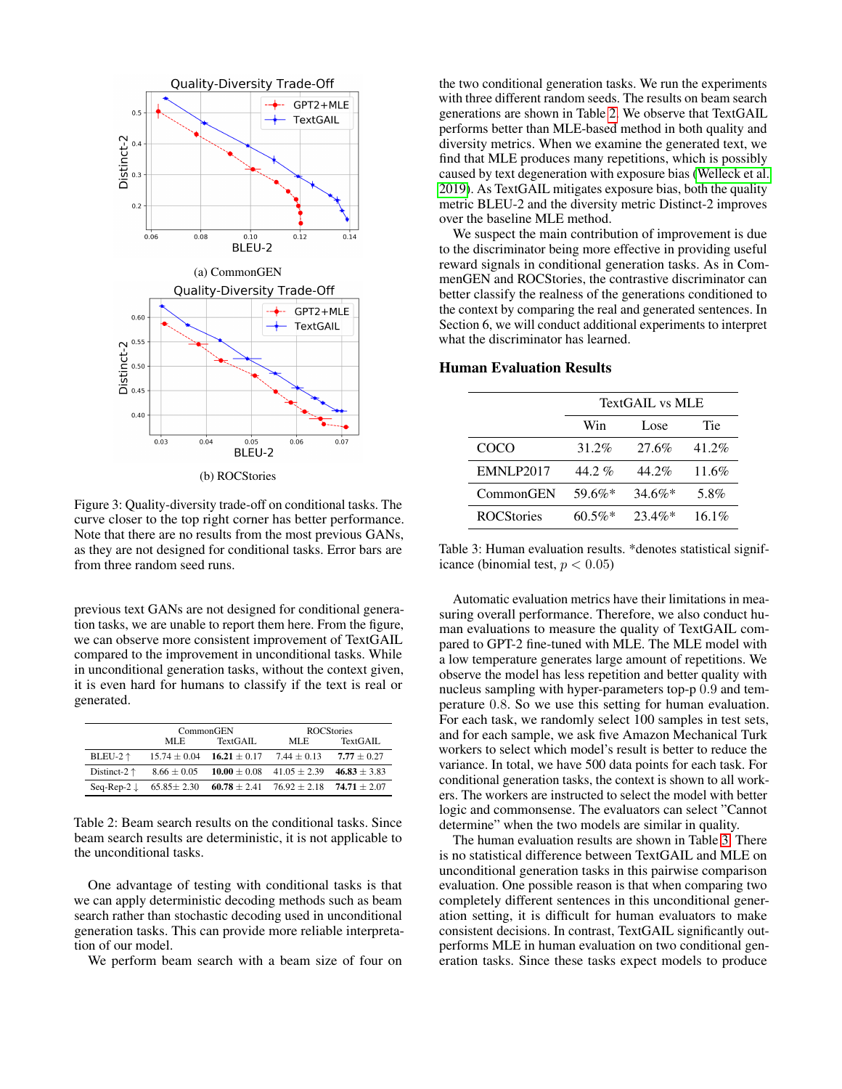<span id="page-4-0"></span>

(b) ROCStories

Figure 3: Quality-diversity trade-off on conditional tasks. The curve closer to the top right corner has better performance. Note that there are no results from the most previous GANs, as they are not designed for conditional tasks. Error bars are from three random seed runs.

previous text GANs are not designed for conditional generation tasks, we are unable to report them here. From the figure, we can observe more consistent improvement of TextGAIL compared to the improvement in unconditional tasks. While in unconditional generation tasks, without the context given, it is even hard for humans to classify if the text is real or generated.

<span id="page-4-1"></span>

|                       | CommonGEN        |                                   |                                                                            | <b>ROCStories</b> |
|-----------------------|------------------|-----------------------------------|----------------------------------------------------------------------------|-------------------|
|                       | TextGAIL<br>MLE. |                                   | MLE.                                                                       | TextGAIL          |
| BLEU-2 $\uparrow$     | $15.74 \pm 0.04$ | $16.21 \pm 0.17$                  | $7.44 \pm 0.13$                                                            | $7.77 \pm 0.27$   |
| Distinct-2 $\uparrow$ | $8.66 \pm 0.05$  | $10.00 \pm 0.08$ 41.05 $\pm$ 2.39 |                                                                            | $46.83 \pm 3.83$  |
|                       |                  |                                   | Seq-Rep-2 $\downarrow$ 65.85 ± 2.30 60.78 ± 2.41 76.92 ± 2.18 74.71 ± 2.07 |                   |

Table 2: Beam search results on the conditional tasks. Since beam search results are deterministic, it is not applicable to the unconditional tasks.

One advantage of testing with conditional tasks is that we can apply deterministic decoding methods such as beam search rather than stochastic decoding used in unconditional generation tasks. This can provide more reliable interpretation of our model.

We perform beam search with a beam size of four on

the two conditional generation tasks. We run the experiments with three different random seeds. The results on beam search generations are shown in Table [2.](#page-4-1) We observe that TextGAIL performs better than MLE-based method in both quality and diversity metrics. When we examine the generated text, we find that MLE produces many repetitions, which is possibly caused by text degeneration with exposure bias [\(Welleck et al.](#page-8-2) [2019\)](#page-8-2). As TextGAIL mitigates exposure bias, both the quality metric BLEU-2 and the diversity metric Distinct-2 improves over the baseline MLE method.

We suspect the main contribution of improvement is due to the discriminator being more effective in providing useful reward signals in conditional generation tasks. As in CommenGEN and ROCStories, the contrastive discriminator can better classify the realness of the generations conditioned to the context by comparing the real and generated sentences. In Section 6, we will conduct additional experiments to interpret what the discriminator has learned.

#### <span id="page-4-2"></span>Human Evaluation Results

|                   | <b>TextGAIL vs MLE</b> |           |       |
|-------------------|------------------------|-----------|-------|
|                   | Tie<br>Win<br>Lose.    |           |       |
| COCO              | 31.2%                  | 27.6%     | 41.2% |
| EMNLP2017         | $44.2\%$               | 44.2%     | 11.6% |
| CommonGEN         | 59.6%*                 | $34.6\%*$ | 5.8%  |
| <b>ROCStories</b> | $60.5\%*$              | $23.4\%*$ | 16.1% |

Table 3: Human evaluation results. \*denotes statistical significance (binomial test,  $p < 0.05$ )

Automatic evaluation metrics have their limitations in measuring overall performance. Therefore, we also conduct human evaluations to measure the quality of TextGAIL compared to GPT-2 fine-tuned with MLE. The MLE model with a low temperature generates large amount of repetitions. We observe the model has less repetition and better quality with nucleus sampling with hyper-parameters top-p 0.9 and temperature 0.8. So we use this setting for human evaluation. For each task, we randomly select 100 samples in test sets, and for each sample, we ask five Amazon Mechanical Turk workers to select which model's result is better to reduce the variance. In total, we have 500 data points for each task. For conditional generation tasks, the context is shown to all workers. The workers are instructed to select the model with better logic and commonsense. The evaluators can select "Cannot determine" when the two models are similar in quality.

The human evaluation results are shown in Table [3.](#page-4-2) There is no statistical difference between TextGAIL and MLE on unconditional generation tasks in this pairwise comparison evaluation. One possible reason is that when comparing two completely different sentences in this unconditional generation setting, it is difficult for human evaluators to make consistent decisions. In contrast, TextGAIL significantly outperforms MLE in human evaluation on two conditional generation tasks. Since these tasks expect models to produce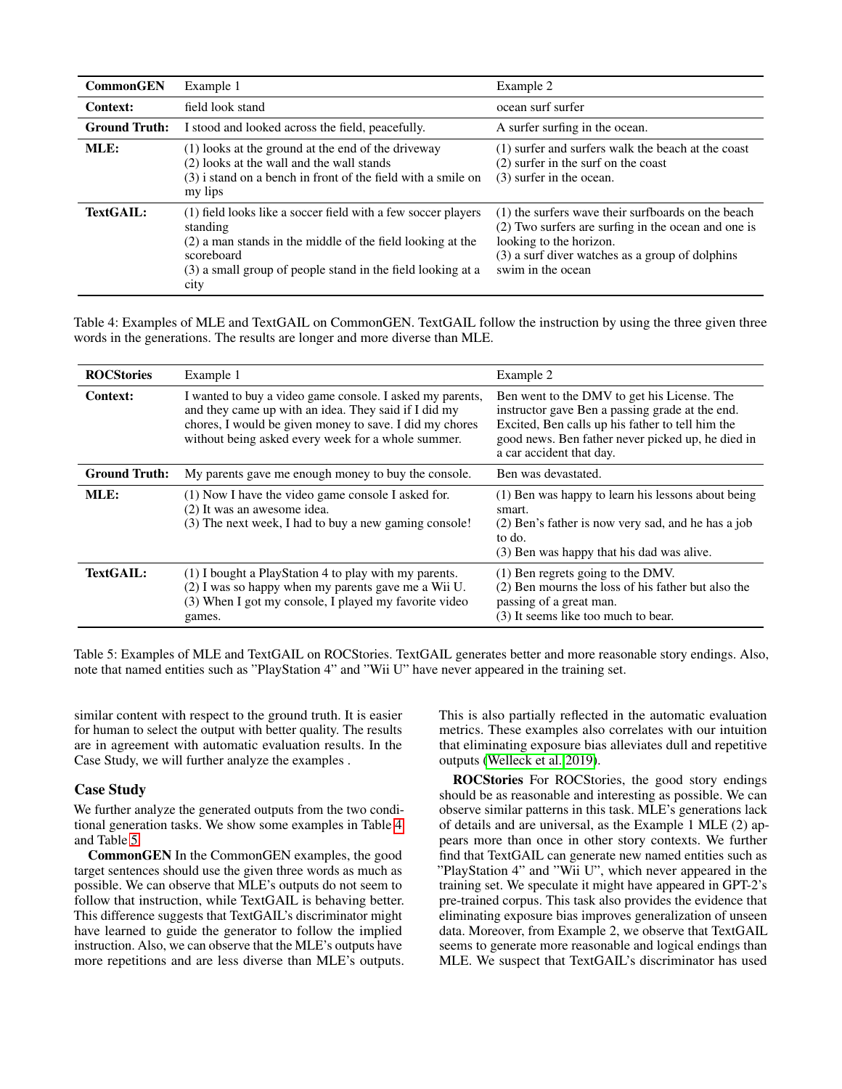<span id="page-5-0"></span>

| <b>CommonGEN</b>     | Example 1                                                                                                                                                                                                                    | Example 2                                                                                                                                                                                                    |
|----------------------|------------------------------------------------------------------------------------------------------------------------------------------------------------------------------------------------------------------------------|--------------------------------------------------------------------------------------------------------------------------------------------------------------------------------------------------------------|
| Context:             | field look stand                                                                                                                                                                                                             | ocean surf surfer                                                                                                                                                                                            |
| <b>Ground Truth:</b> | I stood and looked across the field, peacefully.                                                                                                                                                                             | A surfer surfing in the ocean.                                                                                                                                                                               |
| MLE:                 | (1) looks at the ground at the end of the driveway<br>(2) looks at the wall and the wall stands<br>(3) i stand on a bench in front of the field with a smile on<br>my lips                                                   | (1) surfer and surfers walk the beach at the coast<br>$(2)$ surfer in the surf on the coast<br>(3) surfer in the ocean.                                                                                      |
| TextGAIL:            | (1) field looks like a soccer field with a few soccer players<br>standing<br>(2) a man stands in the middle of the field looking at the<br>scoreboard<br>(3) a small group of people stand in the field looking at a<br>city | (1) the surfers wave their surfboards on the beach<br>(2) Two surfers are surfing in the ocean and one is<br>looking to the horizon.<br>(3) a surf diver watches as a group of dolphins<br>swim in the ocean |

Table 4: Examples of MLE and TextGAIL on CommonGEN. TextGAIL follow the instruction by using the three given three words in the generations. The results are longer and more diverse than MLE.

<span id="page-5-1"></span>

| <b>ROCStories</b>    | Example 1                                                                                                                                                                                                                          | Example 2                                                                                                                                                                                                                           |
|----------------------|------------------------------------------------------------------------------------------------------------------------------------------------------------------------------------------------------------------------------------|-------------------------------------------------------------------------------------------------------------------------------------------------------------------------------------------------------------------------------------|
| Context:             | I wanted to buy a video game console. I asked my parents,<br>and they came up with an idea. They said if I did my<br>chores, I would be given money to save. I did my chores<br>without being asked every week for a whole summer. | Ben went to the DMV to get his License. The<br>instructor gave Ben a passing grade at the end.<br>Excited, Ben calls up his father to tell him the<br>good news. Ben father never picked up, he died in<br>a car accident that day. |
| <b>Ground Truth:</b> | My parents gave me enough money to buy the console.                                                                                                                                                                                | Ben was devastated.                                                                                                                                                                                                                 |
| MLE:                 | (1) Now I have the video game console I asked for.<br>(2) It was an awesome idea.<br>(3) The next week, I had to buy a new gaming console!                                                                                         | (1) Ben was happy to learn his lessons about being<br>smart.<br>(2) Ben's father is now very sad, and he has a job<br>to do.<br>(3) Ben was happy that his dad was alive.                                                           |
| TextGAIL:            | (1) I bought a PlayStation 4 to play with my parents.<br>(2) I was so happy when my parents gave me a Wii U.<br>(3) When I got my console, I played my favorite video<br>games.                                                    | (1) Ben regrets going to the DMV.<br>(2) Ben mourns the loss of his father but also the<br>passing of a great man.<br>(3) It seems like too much to bear.                                                                           |

Table 5: Examples of MLE and TextGAIL on ROCStories. TextGAIL generates better and more reasonable story endings. Also, note that named entities such as "PlayStation 4" and "Wii U" have never appeared in the training set.

similar content with respect to the ground truth. It is easier for human to select the output with better quality. The results are in agreement with automatic evaluation results. In the Case Study, we will further analyze the examples .

### Case Study

We further analyze the generated outputs from the two conditional generation tasks. We show some examples in Table [4](#page-5-0) and Table [5.](#page-5-1)

CommonGEN In the CommonGEN examples, the good target sentences should use the given three words as much as possible. We can observe that MLE's outputs do not seem to follow that instruction, while TextGAIL is behaving better. This difference suggests that TextGAIL's discriminator might have learned to guide the generator to follow the implied instruction. Also, we can observe that the MLE's outputs have more repetitions and are less diverse than MLE's outputs. This is also partially reflected in the automatic evaluation metrics. These examples also correlates with our intuition that eliminating exposure bias alleviates dull and repetitive outputs [\(Welleck et al. 2019\)](#page-8-2).

ROCStories For ROCStories, the good story endings should be as reasonable and interesting as possible. We can observe similar patterns in this task. MLE's generations lack of details and are universal, as the Example 1 MLE (2) appears more than once in other story contexts. We further find that TextGAIL can generate new named entities such as "PlayStation 4" and "Wii U", which never appeared in the training set. We speculate it might have appeared in GPT-2's pre-trained corpus. This task also provides the evidence that eliminating exposure bias improves generalization of unseen data. Moreover, from Example 2, we observe that TextGAIL seems to generate more reasonable and logical endings than MLE. We suspect that TextGAIL's discriminator has used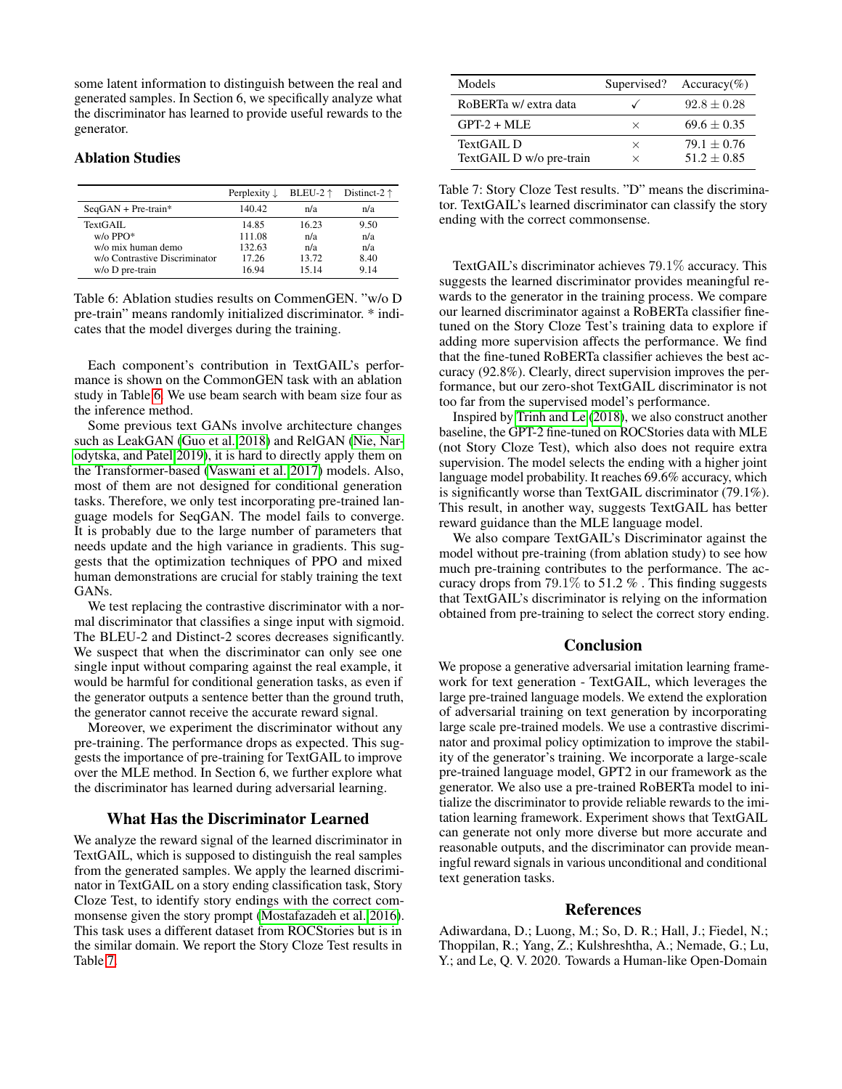some latent information to distinguish between the real and generated samples. In Section 6, we specifically analyze what the discriminator has learned to provide useful rewards to the generator.

### Ablation Studies

<span id="page-6-1"></span>

|                               | Perplexity $\downarrow$ | BLEU-2 $\uparrow$ | Distinct-2 $\uparrow$ |
|-------------------------------|-------------------------|-------------------|-----------------------|
| $SeqGAN + Pre-train*$         | 140.42                  | n/a               | n/a                   |
| TextGAIL                      | 14.85                   | 16.23             | 9.50                  |
| $w$ / $\alpha$ PPO*           | 111.08                  | n/a               | n/a                   |
| w/o mix human demo            | 132.63                  | n/a               | n/a                   |
| w/o Contrastive Discriminator | 17 26                   | 13.72             | 8.40                  |
| $w/o$ D pre-train             | 16 94                   | 15 14             | 9 1 4                 |

Table 6: Ablation studies results on CommenGEN. "w/o D pre-train" means randomly initialized discriminator. \* indicates that the model diverges during the training.

Each component's contribution in TextGAIL's performance is shown on the CommonGEN task with an ablation study in Table [6.](#page-6-1) We use beam search with beam size four as the inference method.

Some previous text GANs involve architecture changes such as LeakGAN [\(Guo et al. 2018\)](#page-7-11) and RelGAN [\(Nie, Nar](#page-7-13)[odytska, and Patel 2019\)](#page-7-13), it is hard to directly apply them on the Transformer-based [\(Vaswani et al. 2017\)](#page-8-8) models. Also, most of them are not designed for conditional generation tasks. Therefore, we only test incorporating pre-trained language models for SeqGAN. The model fails to converge. It is probably due to the large number of parameters that needs update and the high variance in gradients. This suggests that the optimization techniques of PPO and mixed human demonstrations are crucial for stably training the text GANs.

We test replacing the contrastive discriminator with a normal discriminator that classifies a singe input with sigmoid. The BLEU-2 and Distinct-2 scores decreases significantly. We suspect that when the discriminator can only see one single input without comparing against the real example, it would be harmful for conditional generation tasks, as even if the generator outputs a sentence better than the ground truth, the generator cannot receive the accurate reward signal.

Moreover, we experiment the discriminator without any pre-training. The performance drops as expected. This suggests the importance of pre-training for TextGAIL to improve over the MLE method. In Section 6, we further explore what the discriminator has learned during adversarial learning.

### What Has the Discriminator Learned

We analyze the reward signal of the learned discriminator in TextGAIL, which is supposed to distinguish the real samples from the generated samples. We apply the learned discriminator in TextGAIL on a story ending classification task, Story Cloze Test, to identify story endings with the correct commonsense given the story prompt [\(Mostafazadeh et al. 2016\)](#page-7-18). This task uses a different dataset from ROCStories but is in the similar domain. We report the Story Cloze Test results in Table [7.](#page-6-2)

<span id="page-6-2"></span>

| Models                                 |               | Supervised? Accuracy(%)        |
|----------------------------------------|---------------|--------------------------------|
| RoBERTa w/ extra data                  |               | $92.8 + 0.28$                  |
| $GPT-2 + MLE$                          | $\times$      | $69.6 + 0.35$                  |
| TextGAIL D<br>TextGAIL D w/o pre-train | $\times$<br>× | $79.1 + 0.76$<br>$51.2 + 0.85$ |

Table 7: Story Cloze Test results. "D" means the discriminator. TextGAIL's learned discriminator can classify the story ending with the correct commonsense.

TextGAIL's discriminator achieves 79.1% accuracy. This suggests the learned discriminator provides meaningful rewards to the generator in the training process. We compare our learned discriminator against a RoBERTa classifier finetuned on the Story Cloze Test's training data to explore if adding more supervision affects the performance. We find that the fine-tuned RoBERTa classifier achieves the best accuracy (92.8%). Clearly, direct supervision improves the performance, but our zero-shot TextGAIL discriminator is not too far from the supervised model's performance.

Inspired by [Trinh and Le](#page-8-9) [\(2018\)](#page-8-9), we also construct another baseline, the GPT-2 fine-tuned on ROCStories data with MLE (not Story Cloze Test), which also does not require extra supervision. The model selects the ending with a higher joint language model probability. It reaches 69.6% accuracy, which is significantly worse than TextGAIL discriminator (79.1%). This result, in another way, suggests TextGAIL has better reward guidance than the MLE language model.

We also compare TextGAIL's Discriminator against the model without pre-training (from ablation study) to see how much pre-training contributes to the performance. The accuracy drops from  $79.1\%$  to  $51.2\%$ . This finding suggests that TextGAIL's discriminator is relying on the information obtained from pre-training to select the correct story ending.

#### Conclusion

We propose a generative adversarial imitation learning framework for text generation - TextGAIL, which leverages the large pre-trained language models. We extend the exploration of adversarial training on text generation by incorporating large scale pre-trained models. We use a contrastive discriminator and proximal policy optimization to improve the stability of the generator's training. We incorporate a large-scale pre-trained language model, GPT2 in our framework as the generator. We also use a pre-trained RoBERTa model to initialize the discriminator to provide reliable rewards to the imitation learning framework. Experiment shows that TextGAIL can generate not only more diverse but more accurate and reasonable outputs, and the discriminator can provide meaningful reward signals in various unconditional and conditional text generation tasks.

#### References

<span id="page-6-0"></span>Adiwardana, D.; Luong, M.; So, D. R.; Hall, J.; Fiedel, N.; Thoppilan, R.; Yang, Z.; Kulshreshtha, A.; Nemade, G.; Lu, Y.; and Le, Q. V. 2020. Towards a Human-like Open-Domain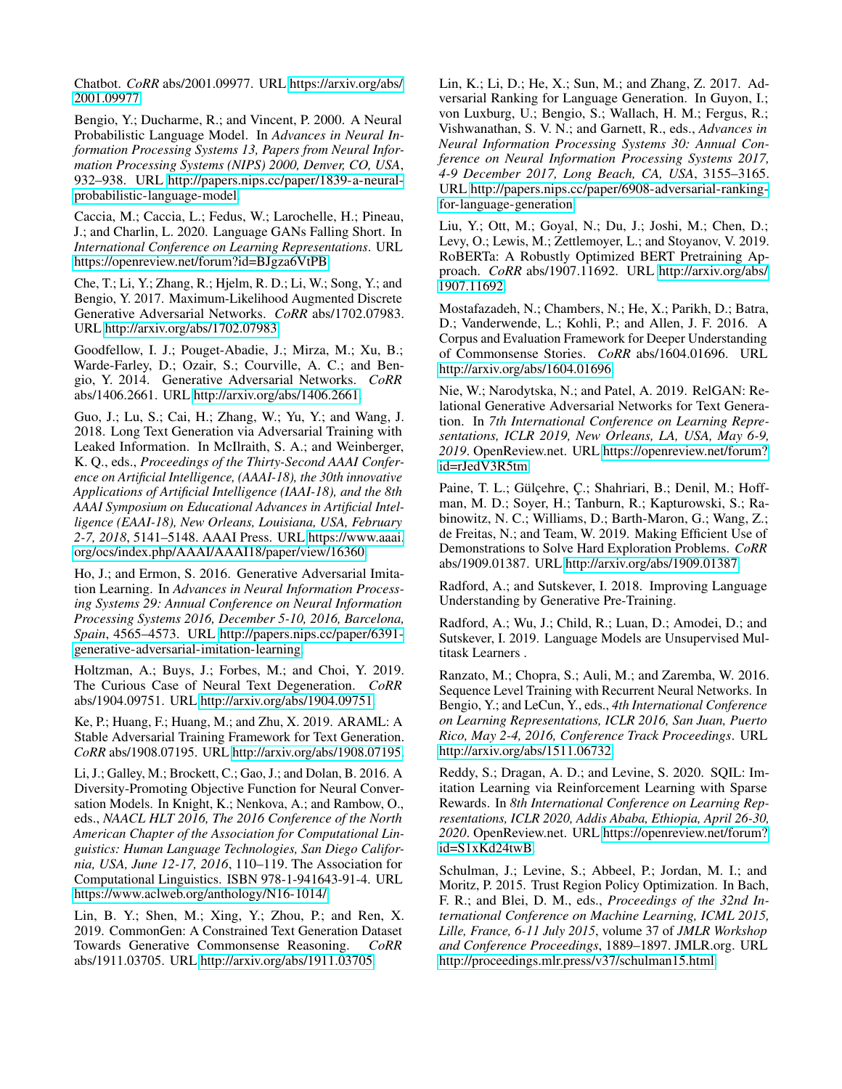Chatbot. *CoRR* abs/2001.09977. URL [https://arxiv.org/abs/](https://arxiv.org/abs/2001.09977) [2001.09977.](https://arxiv.org/abs/2001.09977)

<span id="page-7-1"></span>Bengio, Y.; Ducharme, R.; and Vincent, P. 2000. A Neural Probabilistic Language Model. In *Advances in Neural Information Processing Systems 13, Papers from Neural Information Processing Systems (NIPS) 2000, Denver, CO, USA*, 932–938. URL [http://papers.nips.cc/paper/1839-a-neural](http://papers.nips.cc/paper/1839-a-neural-probabilistic-language-model)[probabilistic-language-model.](http://papers.nips.cc/paper/1839-a-neural-probabilistic-language-model)

<span id="page-7-0"></span>Caccia, M.; Caccia, L.; Fedus, W.; Larochelle, H.; Pineau, J.; and Charlin, L. 2020. Language GANs Falling Short. In *International Conference on Learning Representations*. URL [https://openreview.net/forum?id=BJgza6VtPB.](https://openreview.net/forum?id=BJgza6VtPB)

<span id="page-7-10"></span>Che, T.; Li, Y.; Zhang, R.; Hjelm, R. D.; Li, W.; Song, Y.; and Bengio, Y. 2017. Maximum-Likelihood Augmented Discrete Generative Adversarial Networks. *CoRR* abs/1702.07983. URL [http://arxiv.org/abs/1702.07983.](http://arxiv.org/abs/1702.07983)

<span id="page-7-7"></span>Goodfellow, I. J.; Pouget-Abadie, J.; Mirza, M.; Xu, B.; Warde-Farley, D.; Ozair, S.; Courville, A. C.; and Bengio, Y. 2014. Generative Adversarial Networks. *CoRR* abs/1406.2661. URL [http://arxiv.org/abs/1406.2661.](http://arxiv.org/abs/1406.2661)

<span id="page-7-11"></span>Guo, J.; Lu, S.; Cai, H.; Zhang, W.; Yu, Y.; and Wang, J. 2018. Long Text Generation via Adversarial Training with Leaked Information. In McIlraith, S. A.; and Weinberger, K. Q., eds., *Proceedings of the Thirty-Second AAAI Conference on Artificial Intelligence, (AAAI-18), the 30th innovative Applications of Artificial Intelligence (IAAI-18), and the 8th AAAI Symposium on Educational Advances in Artificial Intelligence (EAAI-18), New Orleans, Louisiana, USA, February 2-7, 2018*, 5141–5148. AAAI Press. URL [https://www.aaai.](https://www.aaai.org/ocs/index.php/AAAI/AAAI18/paper/view/16360) [org/ocs/index.php/AAAI/AAAI18/paper/view/16360.](https://www.aaai.org/ocs/index.php/AAAI/AAAI18/paper/view/16360)

<span id="page-7-5"></span>Ho, J.; and Ermon, S. 2016. Generative Adversarial Imitation Learning. In *Advances in Neural Information Processing Systems 29: Annual Conference on Neural Information Processing Systems 2016, December 5-10, 2016, Barcelona, Spain*, 4565–4573. URL [http://papers.nips.cc/paper/6391](http://papers.nips.cc/paper/6391-generative-adversarial-imitation-learning) [generative-adversarial-imitation-learning.](http://papers.nips.cc/paper/6391-generative-adversarial-imitation-learning)

<span id="page-7-6"></span>Holtzman, A.; Buys, J.; Forbes, M.; and Choi, Y. 2019. The Curious Case of Neural Text Degeneration. *CoRR* abs/1904.09751. URL [http://arxiv.org/abs/1904.09751.](http://arxiv.org/abs/1904.09751)

<span id="page-7-9"></span>Ke, P.; Huang, F.; Huang, M.; and Zhu, X. 2019. ARAML: A Stable Adversarial Training Framework for Text Generation. *CoRR* abs/1908.07195. URL [http://arxiv.org/abs/1908.07195.](http://arxiv.org/abs/1908.07195)

<span id="page-7-19"></span>Li, J.; Galley, M.; Brockett, C.; Gao, J.; and Dolan, B. 2016. A Diversity-Promoting Objective Function for Neural Conversation Models. In Knight, K.; Nenkova, A.; and Rambow, O., eds., *NAACL HLT 2016, The 2016 Conference of the North American Chapter of the Association for Computational Linguistics: Human Language Technologies, San Diego California, USA, June 12-17, 2016*, 110–119. The Association for Computational Linguistics. ISBN 978-1-941643-91-4. URL [https://www.aclweb.org/anthology/N16-1014/.](https://www.aclweb.org/anthology/N16-1014/)

<span id="page-7-17"></span>Lin, B. Y.; Shen, M.; Xing, Y.; Zhou, P.; and Ren, X. 2019. CommonGen: A Constrained Text Generation Dataset<br>Towards Generative Commonsense Reasoning. *CoRR* Towards Generative Commonsense Reasoning. abs/1911.03705. URL [http://arxiv.org/abs/1911.03705.](http://arxiv.org/abs/1911.03705)

<span id="page-7-12"></span>Lin, K.; Li, D.; He, X.; Sun, M.; and Zhang, Z. 2017. Adversarial Ranking for Language Generation. In Guyon, I.; von Luxburg, U.; Bengio, S.; Wallach, H. M.; Fergus, R.; Vishwanathan, S. V. N.; and Garnett, R., eds., *Advances in Neural Information Processing Systems 30: Annual Conference on Neural Information Processing Systems 2017, 4-9 December 2017, Long Beach, CA, USA*, 3155–3165. URL [http://papers.nips.cc/paper/6908-adversarial-ranking](http://papers.nips.cc/paper/6908-adversarial-ranking-for-language-generation)[for-language-generation.](http://papers.nips.cc/paper/6908-adversarial-ranking-for-language-generation)

<span id="page-7-4"></span>Liu, Y.; Ott, M.; Goyal, N.; Du, J.; Joshi, M.; Chen, D.; Levy, O.; Lewis, M.; Zettlemoyer, L.; and Stoyanov, V. 2019. RoBERTa: A Robustly Optimized BERT Pretraining Approach. *CoRR* abs/1907.11692. URL [http://arxiv.org/abs/](http://arxiv.org/abs/1907.11692) [1907.11692.](http://arxiv.org/abs/1907.11692)

<span id="page-7-18"></span>Mostafazadeh, N.; Chambers, N.; He, X.; Parikh, D.; Batra, D.; Vanderwende, L.; Kohli, P.; and Allen, J. F. 2016. A Corpus and Evaluation Framework for Deeper Understanding of Commonsense Stories. *CoRR* abs/1604.01696. URL [http://arxiv.org/abs/1604.01696.](http://arxiv.org/abs/1604.01696)

<span id="page-7-13"></span>Nie, W.; Narodytska, N.; and Patel, A. 2019. RelGAN: Relational Generative Adversarial Networks for Text Generation. In *7th International Conference on Learning Representations, ICLR 2019, New Orleans, LA, USA, May 6-9, 2019*. OpenReview.net. URL [https://openreview.net/forum?](https://openreview.net/forum?id=rJedV3R5tm) [id=rJedV3R5tm.](https://openreview.net/forum?id=rJedV3R5tm)

<span id="page-7-14"></span>Paine, T. L.; Gülçehre, Ç.; Shahriari, B.; Denil, M.; Hoffman, M. D.; Soyer, H.; Tanburn, R.; Kapturowski, S.; Rabinowitz, N. C.; Williams, D.; Barth-Maron, G.; Wang, Z.; de Freitas, N.; and Team, W. 2019. Making Efficient Use of Demonstrations to Solve Hard Exploration Problems. *CoRR* abs/1909.01387. URL [http://arxiv.org/abs/1909.01387.](http://arxiv.org/abs/1909.01387)

<span id="page-7-2"></span>Radford, A.; and Sutskever, I. 2018. Improving Language Understanding by Generative Pre-Training.

<span id="page-7-3"></span>Radford, A.; Wu, J.; Child, R.; Luan, D.; Amodei, D.; and Sutskever, I. 2019. Language Models are Unsupervised Multitask Learners .

<span id="page-7-8"></span>Ranzato, M.; Chopra, S.; Auli, M.; and Zaremba, W. 2016. Sequence Level Training with Recurrent Neural Networks. In Bengio, Y.; and LeCun, Y., eds., *4th International Conference on Learning Representations, ICLR 2016, San Juan, Puerto Rico, May 2-4, 2016, Conference Track Proceedings*. URL [http://arxiv.org/abs/1511.06732.](http://arxiv.org/abs/1511.06732)

<span id="page-7-15"></span>Reddy, S.; Dragan, A. D.; and Levine, S. 2020. SQIL: Imitation Learning via Reinforcement Learning with Sparse Rewards. In *8th International Conference on Learning Representations, ICLR 2020, Addis Ababa, Ethiopia, April 26-30, 2020*. OpenReview.net. URL [https://openreview.net/forum?](https://openreview.net/forum?id=S1xKd24twB) [id=S1xKd24twB.](https://openreview.net/forum?id=S1xKd24twB)

<span id="page-7-16"></span>Schulman, J.; Levine, S.; Abbeel, P.; Jordan, M. I.; and Moritz, P. 2015. Trust Region Policy Optimization. In Bach, F. R.; and Blei, D. M., eds., *Proceedings of the 32nd International Conference on Machine Learning, ICML 2015, Lille, France, 6-11 July 2015*, volume 37 of *JMLR Workshop and Conference Proceedings*, 1889–1897. JMLR.org. URL [http://proceedings.mlr.press/v37/schulman15.html.](http://proceedings.mlr.press/v37/schulman15.html)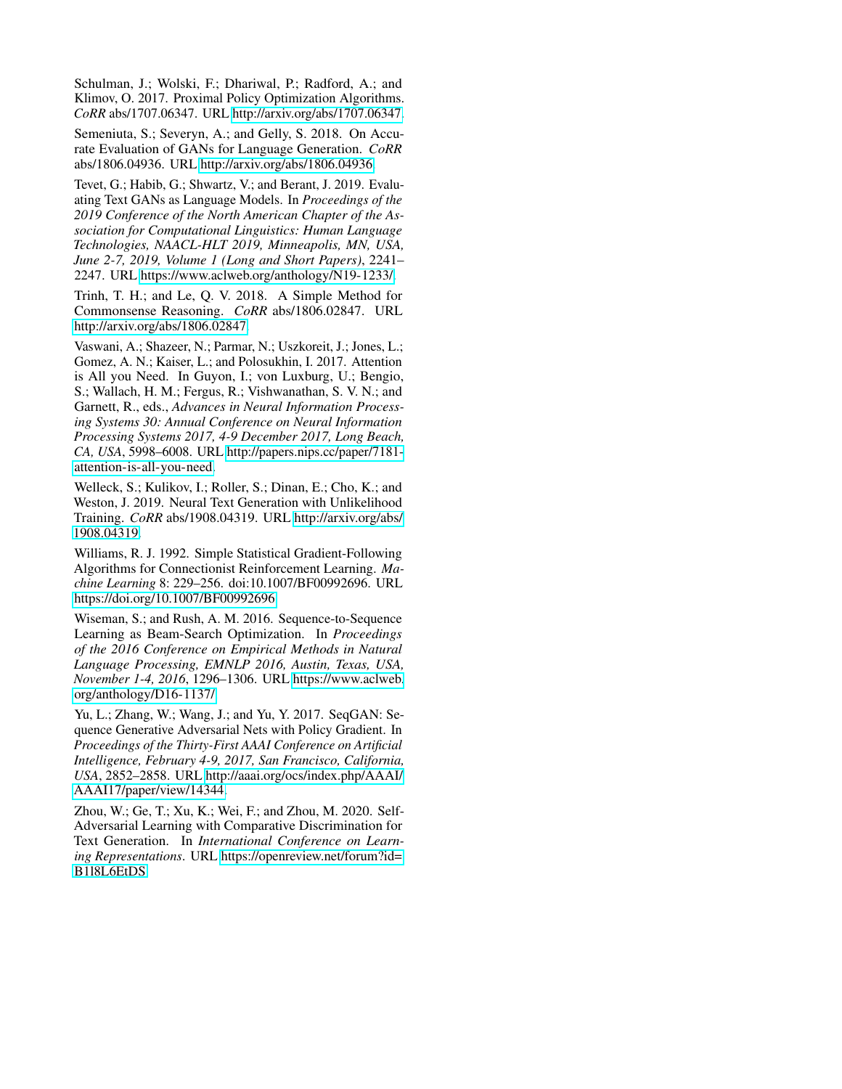<span id="page-8-4"></span>Schulman, J.; Wolski, F.; Dhariwal, P.; Radford, A.; and Klimov, O. 2017. Proximal Policy Optimization Algorithms. *CoRR* abs/1707.06347. URL [http://arxiv.org/abs/1707.06347.](http://arxiv.org/abs/1707.06347)

<span id="page-8-1"></span>Semeniuta, S.; Severyn, A.; and Gelly, S. 2018. On Accurate Evaluation of GANs for Language Generation. *CoRR* abs/1806.04936. URL [http://arxiv.org/abs/1806.04936.](http://arxiv.org/abs/1806.04936)

<span id="page-8-0"></span>Tevet, G.; Habib, G.; Shwartz, V.; and Berant, J. 2019. Evaluating Text GANs as Language Models. In *Proceedings of the 2019 Conference of the North American Chapter of the Association for Computational Linguistics: Human Language Technologies, NAACL-HLT 2019, Minneapolis, MN, USA, June 2-7, 2019, Volume 1 (Long and Short Papers)*, 2241– 2247. URL [https://www.aclweb.org/anthology/N19-1233/.](https://www.aclweb.org/anthology/N19-1233/)

<span id="page-8-9"></span>Trinh, T. H.; and Le, Q. V. 2018. A Simple Method for Commonsense Reasoning. *CoRR* abs/1806.02847. URL [http://arxiv.org/abs/1806.02847.](http://arxiv.org/abs/1806.02847)

<span id="page-8-8"></span>Vaswani, A.; Shazeer, N.; Parmar, N.; Uszkoreit, J.; Jones, L.; Gomez, A. N.; Kaiser, L.; and Polosukhin, I. 2017. Attention is All you Need. In Guyon, I.; von Luxburg, U.; Bengio, S.; Wallach, H. M.; Fergus, R.; Vishwanathan, S. V. N.; and Garnett, R., eds., *Advances in Neural Information Processing Systems 30: Annual Conference on Neural Information Processing Systems 2017, 4-9 December 2017, Long Beach, CA, USA*, 5998–6008. URL [http://papers.nips.cc/paper/7181](http://papers.nips.cc/paper/7181-attention-is-all-you-need) [attention-is-all-you-need.](http://papers.nips.cc/paper/7181-attention-is-all-you-need)

<span id="page-8-2"></span>Welleck, S.; Kulikov, I.; Roller, S.; Dinan, E.; Cho, K.; and Weston, J. 2019. Neural Text Generation with Unlikelihood Training. *CoRR* abs/1908.04319. URL [http://arxiv.org/abs/](http://arxiv.org/abs/1908.04319) [1908.04319.](http://arxiv.org/abs/1908.04319)

<span id="page-8-6"></span>Williams, R. J. 1992. Simple Statistical Gradient-Following Algorithms for Connectionist Reinforcement Learning. *Machine Learning* 8: 229–256. doi:10.1007/BF00992696. URL [https://doi.org/10.1007/BF00992696.](https://doi.org/10.1007/BF00992696)

<span id="page-8-3"></span>Wiseman, S.; and Rush, A. M. 2016. Sequence-to-Sequence Learning as Beam-Search Optimization. In *Proceedings of the 2016 Conference on Empirical Methods in Natural Language Processing, EMNLP 2016, Austin, Texas, USA, November 1-4, 2016*, 1296–1306. URL [https://www.aclweb.](https://www.aclweb.org/anthology/D16-1137/) [org/anthology/D16-1137/.](https://www.aclweb.org/anthology/D16-1137/)

<span id="page-8-5"></span>Yu, L.; Zhang, W.; Wang, J.; and Yu, Y. 2017. SeqGAN: Sequence Generative Adversarial Nets with Policy Gradient. In *Proceedings of the Thirty-First AAAI Conference on Artificial Intelligence, February 4-9, 2017, San Francisco, California, USA*, 2852–2858. URL [http://aaai.org/ocs/index.php/AAAI/](http://aaai.org/ocs/index.php/AAAI/AAAI17/paper/view/14344) [AAAI17/paper/view/14344.](http://aaai.org/ocs/index.php/AAAI/AAAI17/paper/view/14344)

<span id="page-8-7"></span>Zhou, W.; Ge, T.; Xu, K.; Wei, F.; and Zhou, M. 2020. Self-Adversarial Learning with Comparative Discrimination for Text Generation. In *International Conference on Learning Representations*. URL [https://openreview.net/forum?id=](https://openreview.net/forum?id=B1l8L6EtDS) [B1l8L6EtDS.](https://openreview.net/forum?id=B1l8L6EtDS)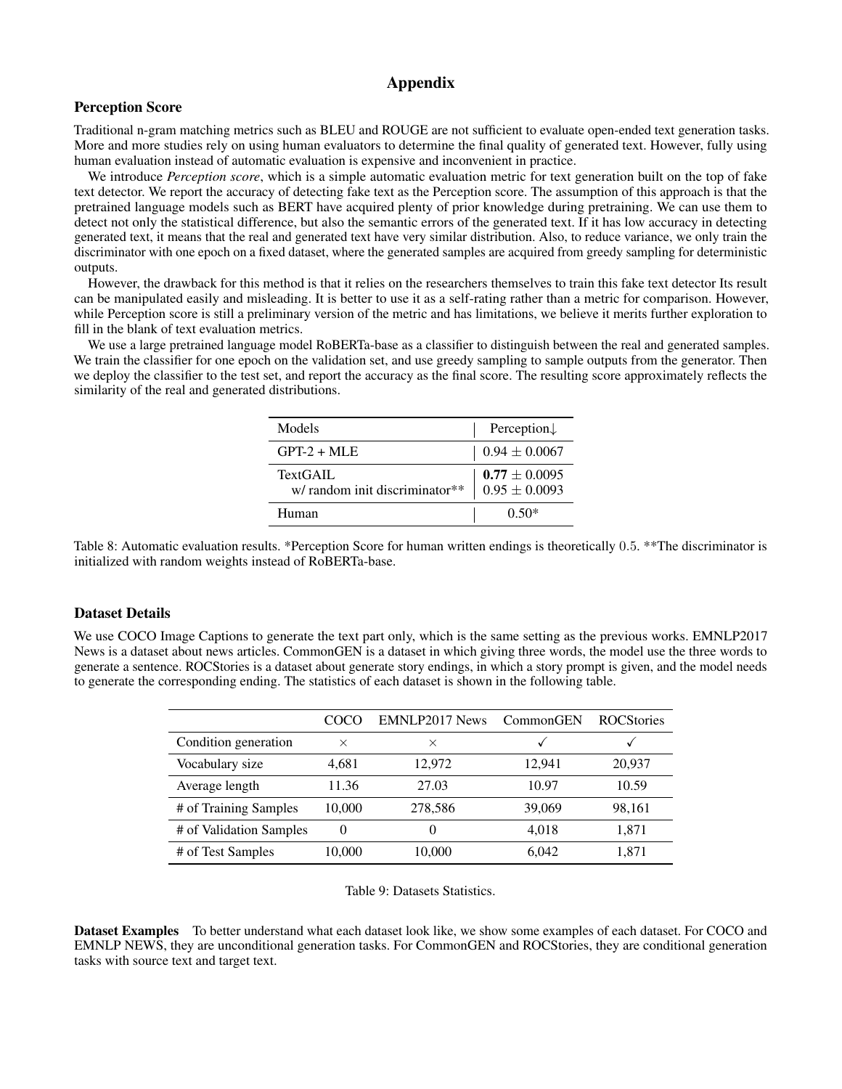# Appendix

### Perception Score

Traditional n-gram matching metrics such as BLEU and ROUGE are not sufficient to evaluate open-ended text generation tasks. More and more studies rely on using human evaluators to determine the final quality of generated text. However, fully using human evaluation instead of automatic evaluation is expensive and inconvenient in practice.

We introduce *Perception score*, which is a simple automatic evaluation metric for text generation built on the top of fake text detector. We report the accuracy of detecting fake text as the Perception score. The assumption of this approach is that the pretrained language models such as BERT have acquired plenty of prior knowledge during pretraining. We can use them to detect not only the statistical difference, but also the semantic errors of the generated text. If it has low accuracy in detecting generated text, it means that the real and generated text have very similar distribution. Also, to reduce variance, we only train the discriminator with one epoch on a fixed dataset, where the generated samples are acquired from greedy sampling for deterministic outputs.

However, the drawback for this method is that it relies on the researchers themselves to train this fake text detector Its result can be manipulated easily and misleading. It is better to use it as a self-rating rather than a metric for comparison. However, while Perception score is still a preliminary version of the metric and has limitations, we believe it merits further exploration to fill in the blank of text evaluation metrics.

We use a large pretrained language model RoBERTa-base as a classifier to distinguish between the real and generated samples. We train the classifier for one epoch on the validation set, and use greedy sampling to sample outputs from the generator. Then we deploy the classifier to the test set, and report the accuracy as the final score. The resulting score approximately reflects the similarity of the real and generated distributions.

| Models                                    | Perception $\downarrow$              |
|-------------------------------------------|--------------------------------------|
| $GPT-2 + MLE$                             | $0.94 \pm 0.0067$                    |
| TextGAIL<br>w/random init discriminator** | $0.77 \pm 0.0095$<br>$0.95\pm0.0093$ |
| Human                                     | $0.50*$                              |

Table 8: Automatic evaluation results. \*Perception Score for human written endings is theoretically 0.5. \*\*The discriminator is initialized with random weights instead of RoBERTa-base.

### Dataset Details

<span id="page-9-0"></span>We use COCO Image Captions to generate the text part only, which is the same setting as the previous works. EMNLP2017 News is a dataset about news articles. CommonGEN is a dataset in which giving three words, the model use the three words to generate a sentence. ROCStories is a dataset about generate story endings, in which a story prompt is given, and the model needs to generate the corresponding ending. The statistics of each dataset is shown in the following table.

|                         | COC CO   | EMNLP2017 News | CommonGEN | <b>ROCStories</b> |
|-------------------------|----------|----------------|-----------|-------------------|
| Condition generation    | ×        | ×              |           |                   |
| Vocabulary size         | 4,681    | 12,972         | 12.941    | 20,937            |
| Average length          | 11.36    | 27.03          | 10.97     | 10.59             |
| # of Training Samples   | 10,000   | 278,586        | 39,069    | 98,161            |
| # of Validation Samples | $\Omega$ |                | 4.018     | 1.871             |
| # of Test Samples       | 10,000   | 10,000         | 6.042     | 1.871             |

Table 9: Datasets Statistics.

Dataset Examples To better understand what each dataset look like, we show some examples of each dataset. For COCO and EMNLP NEWS, they are unconditional generation tasks. For CommonGEN and ROCStories, they are conditional generation tasks with source text and target text.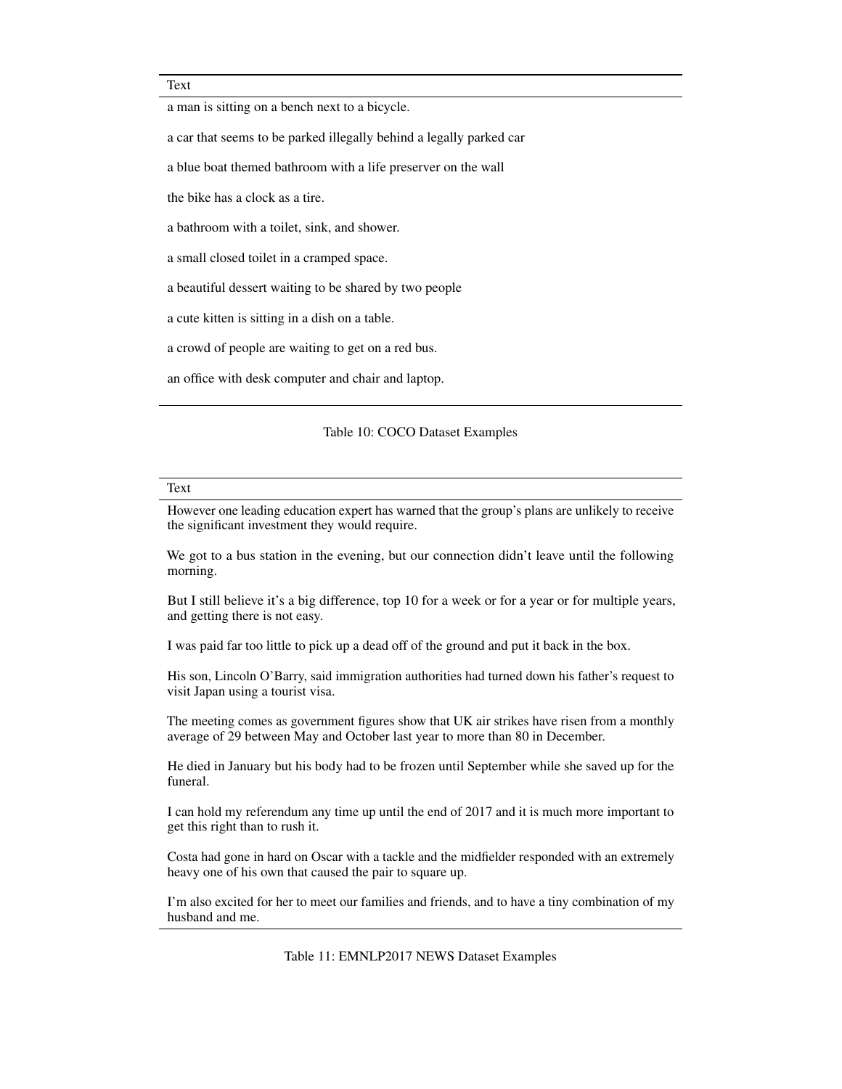#### Text

a man is sitting on a bench next to a bicycle.

a car that seems to be parked illegally behind a legally parked car

a blue boat themed bathroom with a life preserver on the wall

the bike has a clock as a tire.

a bathroom with a toilet, sink, and shower.

a small closed toilet in a cramped space.

a beautiful dessert waiting to be shared by two people

a cute kitten is sitting in a dish on a table.

a crowd of people are waiting to get on a red bus.

an office with desk computer and chair and laptop.

#### Table 10: COCO Dataset Examples

#### Text

However one leading education expert has warned that the group's plans are unlikely to receive the significant investment they would require.

We got to a bus station in the evening, but our connection didn't leave until the following morning.

But I still believe it's a big difference, top 10 for a week or for a year or for multiple years, and getting there is not easy.

I was paid far too little to pick up a dead off of the ground and put it back in the box.

His son, Lincoln O'Barry, said immigration authorities had turned down his father's request to visit Japan using a tourist visa.

The meeting comes as government figures show that UK air strikes have risen from a monthly average of 29 between May and October last year to more than 80 in December.

He died in January but his body had to be frozen until September while she saved up for the funeral.

I can hold my referendum any time up until the end of 2017 and it is much more important to get this right than to rush it.

Costa had gone in hard on Oscar with a tackle and the midfielder responded with an extremely heavy one of his own that caused the pair to square up.

I'm also excited for her to meet our families and friends, and to have a tiny combination of my husband and me.

Table 11: EMNLP2017 NEWS Dataset Examples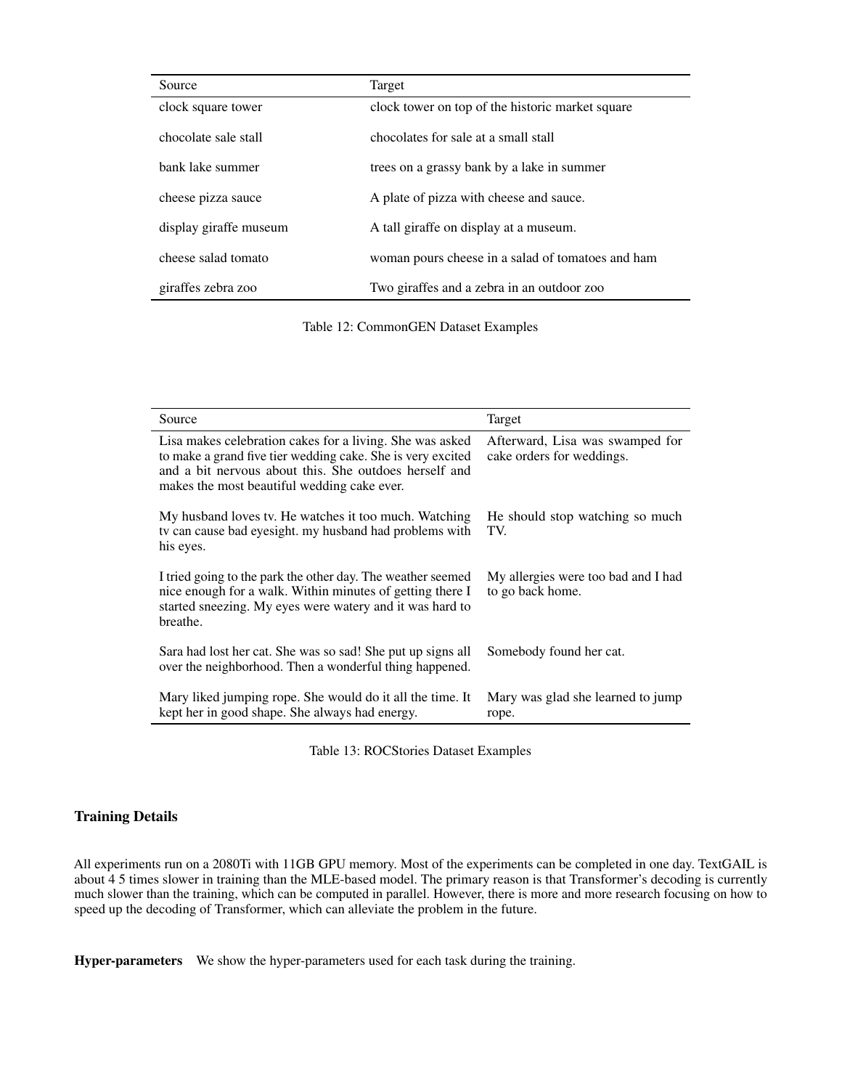| Source                 | Target                                            |
|------------------------|---------------------------------------------------|
| clock square tower     | clock tower on top of the historic market square  |
| chocolate sale stall   | chocolates for sale at a small stall              |
| bank lake summer       | trees on a grassy bank by a lake in summer        |
| cheese pizza sauce     | A plate of pizza with cheese and sauce.           |
| display giraffe museum | A tall giraffe on display at a museum.            |
| cheese salad tomato    | woman pours cheese in a salad of tomatoes and ham |
| giraffes zebra zoo     | Two giraffes and a zebra in an outdoor zoo        |

Table 12: CommonGEN Dataset Examples

| Source                                                                                                                                                                                                                          | Target                                                       |
|---------------------------------------------------------------------------------------------------------------------------------------------------------------------------------------------------------------------------------|--------------------------------------------------------------|
| Lisa makes celebration cakes for a living. She was asked<br>to make a grand five tier wedding cake. She is very excited<br>and a bit nervous about this. She outdoes herself and<br>makes the most beautiful wedding cake ever. | Afterward, Lisa was swamped for<br>cake orders for weddings. |
| My husband loves tv. He watches it too much. Watching<br>ty can cause bad eyesight. my husband had problems with<br>his eyes.                                                                                                   | He should stop watching so much<br>TV.                       |
| I tried going to the park the other day. The weather seemed<br>nice enough for a walk. Within minutes of getting there I<br>started sneezing. My eyes were watery and it was hard to<br>breathe.                                | My allergies were too bad and I had<br>to go back home.      |
| Sara had lost her cat. She was so sad! She put up signs all<br>over the neighborhood. Then a wonderful thing happened.                                                                                                          | Somebody found her cat.                                      |
| Mary liked jumping rope. She would do it all the time. It<br>kept her in good shape. She always had energy.                                                                                                                     | Mary was glad she learned to jump<br>rope.                   |

Table 13: ROCStories Dataset Examples

# Training Details

All experiments run on a 2080Ti with 11GB GPU memory. Most of the experiments can be completed in one day. TextGAIL is about 4 5 times slower in training than the MLE-based model. The primary reason is that Transformer's decoding is currently much slower than the training, which can be computed in parallel. However, there is more and more research focusing on how to speed up the decoding of Transformer, which can alleviate the problem in the future.

Hyper-parameters We show the hyper-parameters used for each task during the training.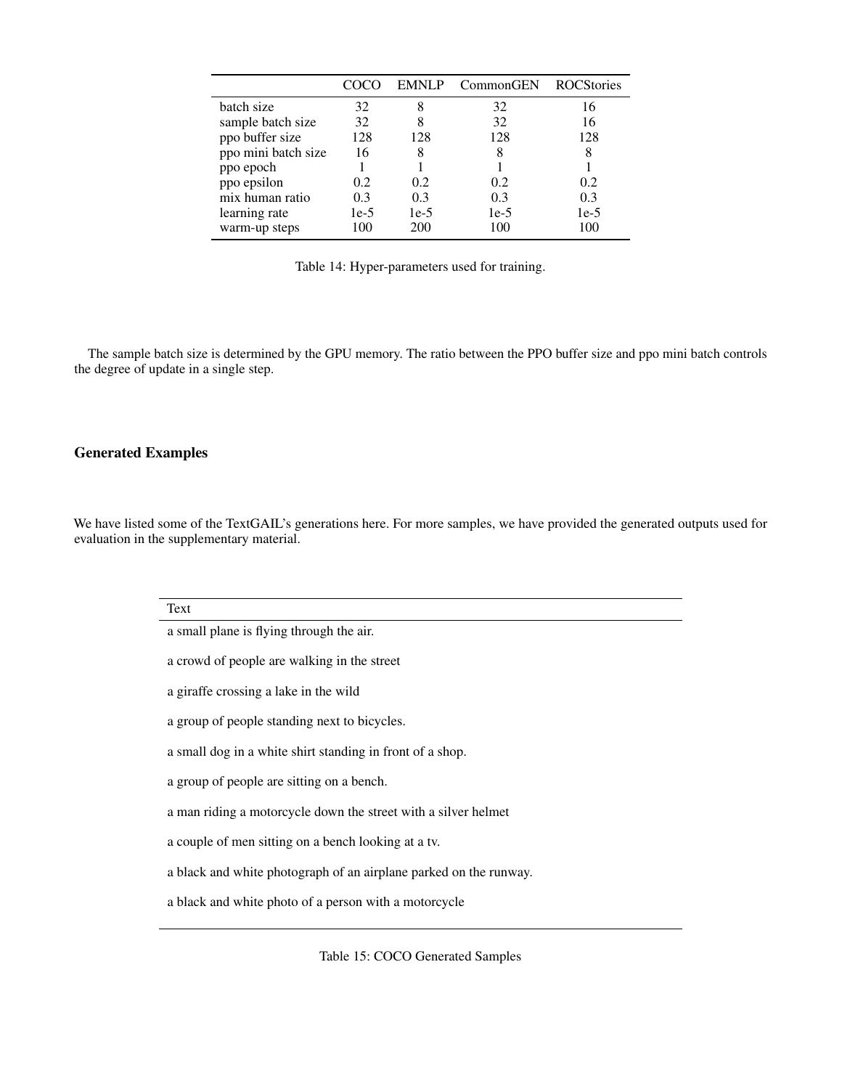|                     |        | EMNLP  | CommonGEN | <b>ROCStories</b> |
|---------------------|--------|--------|-----------|-------------------|
| batch size          | 32     |        | 32        | 16                |
| sample batch size   | 32     |        | 32        | 16                |
| ppo buffer size     | 128    | 128    | 128       | 128               |
| ppo mini batch size | 16     |        | 8         | 8                 |
| ppo epoch           |        |        |           |                   |
| ppo epsilon         | 0.2    | 0.2    | 0.2       | 0.2               |
| mix human ratio     | 0.3    | 0.3    | 0.3       | 0.3               |
| learning rate       | $1e-5$ | $1e-5$ | $1e-5$    | $1e-5$            |
| warm-up steps       | 100    | 200    | 100       | 100               |

Table 14: Hyper-parameters used for training.

The sample batch size is determined by the GPU memory. The ratio between the PPO buffer size and ppo mini batch controls the degree of update in a single step.

## Generated Examples

We have listed some of the TextGAIL's generations here. For more samples, we have provided the generated outputs used for evaluation in the supplementary material.

| Text                                                              |
|-------------------------------------------------------------------|
| a small plane is flying through the air.                          |
| a crowd of people are walking in the street                       |
| a giraffe crossing a lake in the wild                             |
| a group of people standing next to bicycles.                      |
| a small dog in a white shirt standing in front of a shop.         |
| a group of people are sitting on a bench.                         |
| a man riding a motorcycle down the street with a silver helmet    |
| a couple of men sitting on a bench looking at a tv.               |
| a black and white photograph of an airplane parked on the runway. |
| a black and white photo of a person with a motorcycle             |
|                                                                   |

Table 15: COCO Generated Samples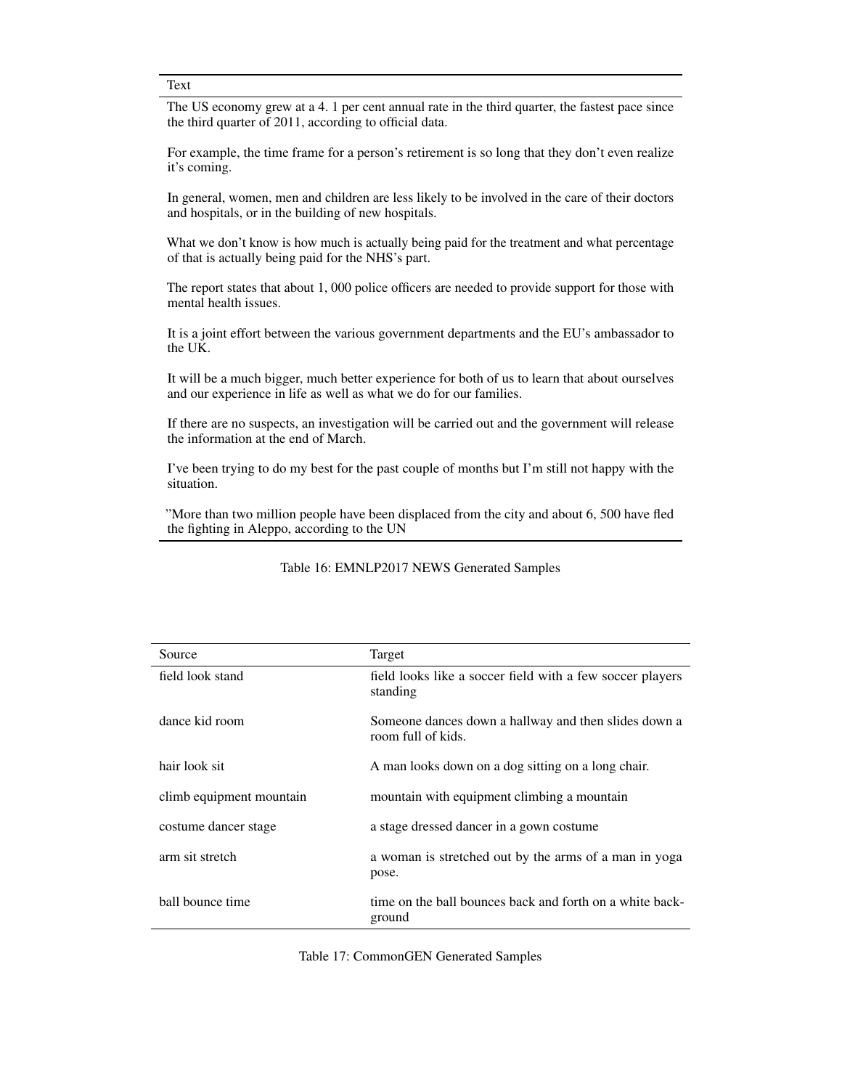Text

The US economy grew at a 4. 1 per cent annual rate in the third quarter, the fastest pace since the third quarter of 2011, according to official data.

For example, the time frame for a person's retirement is so long that they don't even realize it's coming.

In general, women, men and children are less likely to be involved in the care of their doctors and hospitals, or in the building of new hospitals.

What we don't know is how much is actually being paid for the treatment and what percentage of that is actually being paid for the NHS's part.

The report states that about 1, 000 police officers are needed to provide support for those with mental health issues.

It is a joint effort between the various government departments and the EU's ambassador to the UK.

It will be a much bigger, much better experience for both of us to learn that about ourselves and our experience in life as well as what we do for our families.

If there are no suspects, an investigation will be carried out and the government will release the information at the end of March.

I've been trying to do my best for the past couple of months but I'm still not happy with the situation.

"More than two million people have been displaced from the city and about 6, 500 have fled the fighting in Aleppo, according to the UN

| Source                   | Target                                                                     |
|--------------------------|----------------------------------------------------------------------------|
| field look stand         | field looks like a soccer field with a few soccer players<br>standing      |
| dance kid room           | Someone dances down a hallway and then slides down a<br>room full of kids. |
| hair look sit            | A man looks down on a dog sitting on a long chair.                         |
| climb equipment mountain | mountain with equipment climbing a mountain                                |
| costume dancer stage     | a stage dressed dancer in a gown costume                                   |
| arm sit stretch          | a woman is stretched out by the arms of a man in yoga<br>pose.             |
| ball bounce time         | time on the ball bounces back and forth on a white back-<br>ground         |

### Table 16: EMNLP2017 NEWS Generated Samples

Table 17: CommonGEN Generated Samples